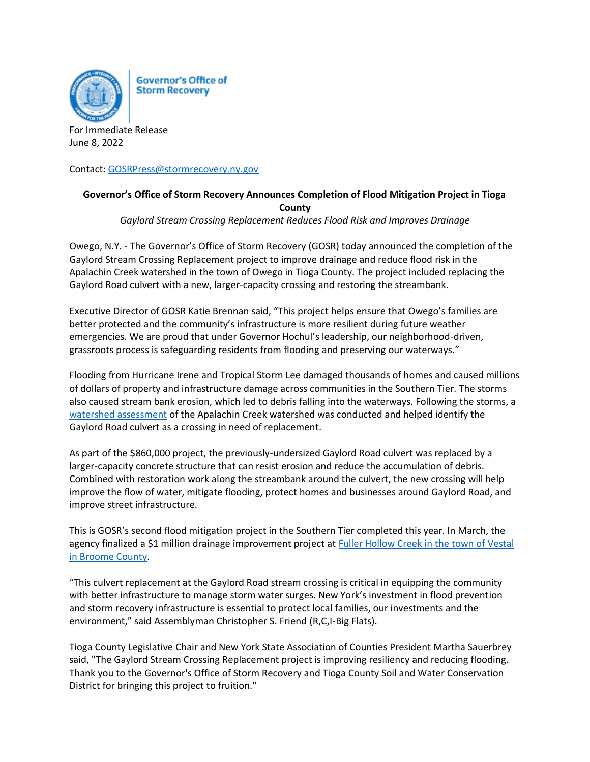

**Governor's Office of Storm Recovery** 

For Immediate Release June 8, 2022

Contact: [GOSRPress@stormrecovery.ny.gov](mailto:GOSRPress@stormrecovery.ny.gov)

## **Governor's Office of Storm Recovery Announces Completion of Flood Mitigation Project in Tioga County**

*Gaylord Stream Crossing Replacement Reduces Flood Risk and Improves Drainage*

Owego, N.Y. - The Governor's Office of Storm Recovery (GOSR) today announced the completion of the Gaylord Stream Crossing Replacement project to improve drainage and reduce flood risk in the Apalachin Creek watershed in the town of Owego in Tioga County. The project included replacing the Gaylord Road culvert with a new, larger-capacity crossing and restoring the streambank.

Executive Director of GOSR Katie Brennan said, "This project helps ensure that Owego's families are better protected and the community's infrastructure is more resilient during future weather emergencies. We are proud that under Governor Hochul's leadership, our neighborhood-driven, grassroots process is safeguarding residents from flooding and preserving our waterways."

Flooding from Hurricane Irene and Tropical Storm Lee damaged thousands of homes and caused millions of dollars of property and infrastructure damage across communities in the Southern Tier. The storms also caused stream bank erosion, which led to debris falling into the waterways. Following the storms, a [watershed assessment](https://www.tiogacountyny.com/media/7409/apalachin-creek-background-report-final-31-december-2019-1.pdf) of the Apalachin Creek watershed was conducted and helped identify the Gaylord Road culvert as a crossing in need of replacement.

As part of the \$860,000 project, the previously-undersized Gaylord Road culvert was replaced by a larger-capacity concrete structure that can resist erosion and reduce the accumulation of debris. Combined with restoration work along the streambank around the culvert, the new crossing will help improve the flow of water, mitigate flooding, protect homes and businesses around Gaylord Road, and improve street infrastructure.

This is GOSR's second flood mitigation project in the Southern Tier completed this year. In March, the agency finalized a \$1 million drainage improvement project at **Fuller Hollow Creek in the town of Vestal** [in Broome County.](https://stormrecovery.ny.gov/sites/default/files/crp/community/documents/FullerHollowCreekCompletion.pdf)

"This culvert replacement at the Gaylord Road stream crossing is critical in equipping the community with better infrastructure to manage storm water surges. New York's investment in flood prevention and storm recovery infrastructure is essential to protect local families, our investments and the environment," said Assemblyman Christopher S. Friend (R,C,I-Big Flats).

Tioga County Legislative Chair and New York State Association of Counties President Martha Sauerbrey said, "The Gaylord Stream Crossing Replacement project is improving resiliency and reducing flooding. Thank you to the Governor's Office of Storm Recovery and Tioga County Soil and Water Conservation District for bringing this project to fruition."